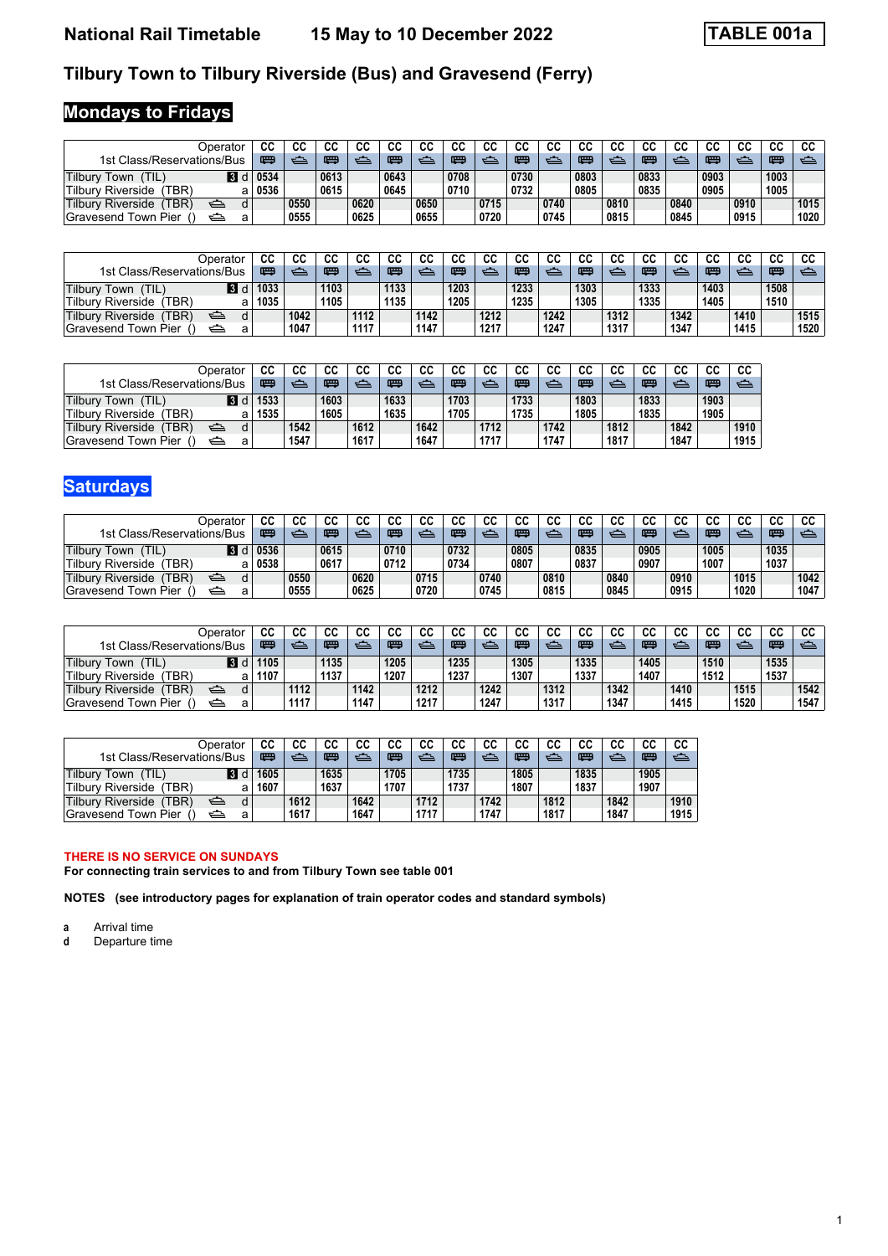**National Rail Timetable 15 May to 10 December 2022**

### **Tilbury Town to Tilbury Riverside (Bus) and Gravesend (Ferry)**

# **Mondays to Fridays**

|                                   | <b>Derator</b> | $\sim$<br>υu | CО   | СC   | CС   | СC   | rr<br>uu | ^^<br>uu | $\sim$ | $\sim$ | CС   | ^^   | cс   | $\sim$<br>uu | cс   | $\sim$<br>uu | ^^   | $\sim$<br>uu | 00<br>uu |
|-----------------------------------|----------------|--------------|------|------|------|------|----------|----------|--------|--------|------|------|------|--------------|------|--------------|------|--------------|----------|
| 1st Class/Reservations/Bus        |                | 粤            |      | 嘌    |      | 唔    |          | 罒        |        | œ      |      | 唔    |      | œ            |      | 吧            |      | 嘈            |          |
| Tilbury<br>TIL.<br>Town           | ÷              | 0534         |      | 0613 |      | 0643 |          | 0708     |        | 0730   |      | 0803 |      | 0833         |      | 0903         |      | 1003         |          |
| (TBR)<br><b>Tilbury Riverside</b> |                | 0536         |      | 0615 |      | 0645 |          | 0710     |        | 0732   |      | 0805 |      | 0835         |      | 0905         |      | 1005         |          |
| 'TBR`<br>Tilbury Riverside        |                |              | 0550 |      | 0620 |      | 0650     |          | 0715   |        | 0740 |      | 0810 |              | 0840 |              | 0910 |              | 1015     |
| Pier<br>Gravesend<br>Town         | а              |              | 0555 |      | 0625 |      | 0655     |          | 0720   |        | 0745 |      | 0815 |              | 0845 |              | 0915 |              | 1020     |

|                                   | <b>Operator</b> | CС   | $\sim$<br>◡◡ | СC   | CС    | cc   | CС   | CС   | CС    | rr.<br>uu | CС   | ^^<br>uu            | СC       | ^^   | cc      | cс   | СC   | CС   | r.<br>vu |
|-----------------------------------|-----------------|------|--------------|------|-------|------|------|------|-------|-----------|------|---------------------|----------|------|---------|------|------|------|----------|
| 1st Class/Reservations/Bus        |                 | 喓    |              | 嘌    | سترين | 嘌    |      | 罒    | ستعمي | œ         |      | m <sub>m</sub><br>- | والمرادي | œ    | والمسرو | 嘾    |      | 罒    | ←        |
| Tilbury<br>$\mathsf{TIL}$<br>Town | $\overline{3}$  | 1033 |              | 1103 |       | 1133 |      | 1203 |       | 1233      |      | 1303                |          | 1333 |         | 1403 |      | 1508 |          |
| <b>TBR)</b><br>Tilbury Riverside  |                 | 1035 |              | 1105 |       | 1135 |      | 1205 |       | 1235      |      | 1305                |          | 1335 |         | 1405 |      | 1510 |          |
| <b>TBR</b><br>Tilbury Riverside   |                 |      | 1042         |      | 1112  |      | 1142 |      | 1212  |           | 1242 |                     | 1312     |      | 1342    |      | 1410 |      | 1515     |
| Gravesend Town Pier               | a               |      | 1047         |      | 1117  |      | 1147 |      | 1217  |           | 1247 |                     | 1317     |      | 1347    |      | 1415 |      | 1520     |

| <b>Operator</b>                                  | СC   | СC   | CC   | СC   | СC   | rr.<br>uu | cс   | СC   | cс   | CС   | СC   | СC   | CС   | СC   | CС   | ~~<br>uu |
|--------------------------------------------------|------|------|------|------|------|-----------|------|------|------|------|------|------|------|------|------|----------|
| 1st Class/Reservations/Bus                       | 喓    |      | 喓    | دے   | œ    | والمستوس  | 喓    |      | œ    | ڪي   | 喓    |      | 罒    | د    | 罒    |          |
| $\overline{3}$ d<br><b>Tilbury Town</b><br>(TIL) | 1533 |      | 1603 |      | 1633 |           | 1703 |      | 1733 |      | 1803 |      | 1833 |      | 1903 |          |
| <b>Tilbury Riverside</b><br>TBR)<br>а            | 1535 |      | 1605 |      | 1635 |           | 1705 |      | 1735 |      | 1805 |      | 1835 |      | 1905 |          |
| TBR)<br><b>Tilbury Riverside</b><br>ڪ            |      | 1542 |      | 1612 |      | 1642      |      | 1712 |      | 1742 |      | 1812 |      | 1842 |      | 1910     |
| Gravesend Town Pier                              |      | 1547 |      | 1617 |      | 1647      |      | 1717 |      | 1747 |      | 1817 |      | 1847 |      | 1915     |

## **Saturdays**

| Jperator                               |                | СC   | nn.  | СC   | cc   | cc   | СC   | СC   | rr<br>uu | rr.  | rr.<br>uu | r.<br>uu | CС   | CС   | СC   | 00<br>uu | r c<br>uu | rr.<br>uu | $\sim$<br>u |
|----------------------------------------|----------------|------|------|------|------|------|------|------|----------|------|-----------|----------|------|------|------|----------|-----------|-----------|-------------|
| 1st Class/Reservations/Bus             |                | 喓    |      | 罒    |      | 唔    |      | 嘌    | والسميح  | œ    | وتقسيم    | œ        | ⇐    | 唔    | ڪ    | 罒        | هي        | 喓         | ⇔           |
| Tilbury<br>(TIL)<br>Town               | $\overline{3}$ | 0536 |      | 0615 |      | 0710 |      | 0732 |          | 0805 |           | 0835     |      | 0905 |      | 1005     |           | 1035      |             |
| <b>Tilbury Riverside</b><br><b>TBR</b> |                | 0538 |      | 0617 |      | 0712 |      | 0734 |          | 0807 |           | 0837     |      | 0907 |      | 1007     |           | 1037      |             |
| Tilbury Riverside<br><b>TBR</b>        |                |      | 0550 |      | 0620 |      | 0715 |      | 0740     |      | 0810      |          | 0840 |      | 0910 |          | 1015      |           | 1042        |
| Pier<br>lGravesend∶<br>Town            | а              |      | 0555 |      | 0625 |      | 0720 |      | 0745     |      | 0815      |          | 0845 |      | 0915 |          | 1020      |           | 1047        |

| <b>Operator</b>                                     | СC   | cс   | СC   | cс   | CС   | СC   | CС   | r.     | r r<br>uu    | СC       | cс   | cс   | СC   | СC   | СC   | СC   | rr.<br>◡◡ | rr.<br>ັບປ |
|-----------------------------------------------------|------|------|------|------|------|------|------|--------|--------------|----------|------|------|------|------|------|------|-----------|------------|
| 1st Class/Reservations/Bus                          | 四    |      | 喓    |      | 嘾    | - 1  | 唔    | مستحدث | <b>THEFT</b> | والتعريب | 吧    | ←    | 罒    | دے   | 匷    | ستب  | 匷         | ⇐          |
| Tilbury<br>TIL.<br>$\overline{\phantom{a}}$<br>Town | 1105 |      | 1135 |      | 1205 |      | 1235 |        | 1305         |          | 1335 |      | 1405 |      | 1510 |      | 1535      |            |
| TBR)<br><b>Tilbury Riverside</b>                    | 1107 |      | 1137 |      | 1207 |      | 1237 |        | 1307         |          | 1337 |      | 1407 |      | 1512 |      | 1537      |            |
| $TBR$ )<br>Tilbury Riverside                        |      | 1112 |      | 1142 |      | 1212 |      | 1242   |              | 1312     |      | 1342 |      | 1410 |      | 1515 |           | 1542       |
| Gravesend Town Pier                                 | a    | 1117 |      | 1147 |      | 1217 |      | 1247   |              | 1317     |      | 1347 |      | 1415 |      | 1520 |           | 1547       |

|                                   | Operator | СC   | CС   | СC   | СC   | cс   | CС   | cс   | СC   | СC   | cс   | СC   |      | CС   | СC   |
|-----------------------------------|----------|------|------|------|------|------|------|------|------|------|------|------|------|------|------|
| 1st Class/Reservations/Bus        |          | 四    |      | 罒    |      | 嘈    |      | 喓    |      | 罒    |      | Ē    |      | 四    | ڪ    |
| <b>Tilbury Town</b><br>(TIL)      |          | 1605 |      | 1635 |      | 1705 |      | 1735 |      | 1805 |      | 1835 |      | 1905 |      |
| (TBR)<br><b>Tilbury Riverside</b> | а        | 1607 |      | 1637 |      | 1707 |      | 1737 |      | 1807 |      | 1837 |      | 1907 |      |
| (TBR)<br>Tilbury Riverside        |          |      | 1612 |      | 1642 |      | 1712 |      | 1742 |      | 1812 |      | 1842 |      | 1910 |
| <b>Gravesend Town Pier</b>        |          |      | 1617 |      | 1647 |      | 1717 |      | 1747 |      | 1817 |      | 1847 |      | 1915 |

#### **THERE IS NO SERVICE ON SUNDAYS**

**For connecting train services to and from Tilbury Town see table 001**

**NOTES (see introductory pages for explanation of train operator codes and standard symbols)**

**a** Arrival time<br>**d** Departure time

**d** Departure time